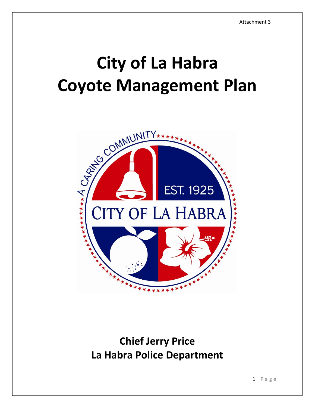# **City of La Habra**



# **Chief Jerry Price La Habra Police Department**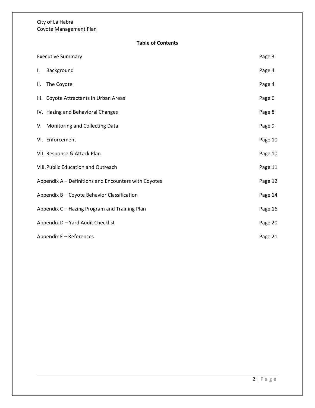**Table of Contents**

| <b>Executive Summary</b>                             |                                            |         |
|------------------------------------------------------|--------------------------------------------|---------|
| $\mathbf{L}$                                         | Background                                 | Page 4  |
|                                                      | II. The Coyote                             | Page 4  |
|                                                      | III. Coyote Attractants in Urban Areas     | Page 6  |
|                                                      | IV. Hazing and Behavioral Changes          | Page 8  |
|                                                      | V. Monitoring and Collecting Data          | Page 9  |
|                                                      | VI. Enforcement                            | Page 10 |
|                                                      | VII. Response & Attack Plan                | Page 10 |
|                                                      | <b>VIII. Public Education and Outreach</b> |         |
| Appendix A - Definitions and Encounters with Coyotes |                                            |         |
| Appendix B - Coyote Behavior Classification          |                                            |         |
| Appendix C - Hazing Program and Training Plan        |                                            | Page 16 |
| Appendix D - Yard Audit Checklist                    |                                            |         |
| Appendix E - References                              |                                            |         |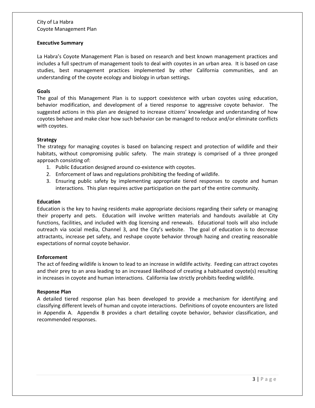#### **Executive Summary**

La Habra's Coyote Management Plan is based on research and best known management practices and includes a full spectrum of management tools to deal with coyotes in an urban area. It is based on case studies, best management practices implemented by other California communities, and an understanding of the coyote ecology and biology in urban settings.

#### **Goals**

The goal of this Management Plan is to support coexistence with urban coyotes using education, behavior modification, and development of a tiered response to aggressive coyote behavior. The suggested actions in this plan are designed to increase citizens' knowledge and understanding of how coyotes behave and make clear how such behavior can be managed to reduce and/or eliminate conflicts with coyotes.

#### **Strategy**

The strategy for managing coyotes is based on balancing respect and protection of wildlife and their habitats, without compromising public safety. The main strategy is comprised of a three pronged approach consisting of:

- 1. Public Education designed around co-existence with coyotes.
- 2. Enforcement of laws and regulations prohibiting the feeding of wildlife.
- 3. Ensuring public safety by implementing appropriate tiered responses to coyote and human interactions. This plan requires active participation on the part of the entire community.

#### **Education**

Education is the key to having residents make appropriate decisions regarding their safety or managing their property and pets. Education will involve written materials and handouts available at City functions, facilities, and included with dog licensing and renewals. Educational tools will also include outreach via social media, Channel 3, and the City's website. The goal of education is to decrease attractants, increase pet safety, and reshape coyote behavior through hazing and creating reasonable expectations of normal coyote behavior.

#### **Enforcement**

The act of feeding wildlife is known to lead to an increase in wildlife activity. Feeding can attract coyotes and their prey to an area leading to an increased likelihood of creating a habituated coyote(s) resulting in increases in coyote and human interactions. California law strictly prohibits feeding wildlife.

#### **Response Plan**

A detailed tiered response plan has been developed to provide a mechanism for identifying and classifying different levels of human and coyote interactions. Definitions of coyote encounters are listed in Appendix A. Appendix B provides a chart detailing coyote behavior, behavior classification, and recommended responses.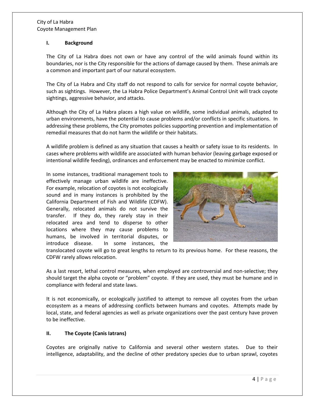#### **I. Background**

The City of La Habra does not own or have any control of the wild animals found within its boundaries, nor is the City responsible for the actions of damage caused by them. These animals are a common and important part of our natural ecosystem.

The City of La Habra and City staff do not respond to calls for service for normal coyote behavior, such as sightings. However, the La Habra Police Department's Animal Control Unit will track coyote sightings, aggressive behavior, and attacks.

Although the City of La Habra places a high value on wildlife, some individual animals, adapted to urban environments, have the potential to cause problems and/or conflicts in specific situations. In addressing these problems, the City promotes policies supporting prevention and implementation of remedial measures that do not harm the wildlife or their habitats.

A wildlife problem is defined as any situation that causes a health or safety issue to its residents. In cases where problems with wildlife are associated with human behavior (leaving garbage exposed or intentional wildlife feeding), ordinances and enforcement may be enacted to minimize conflict.

In some instances, traditional management tools to effectively manage urban wildlife are ineffective. For example, relocation of coyotes is not ecologically sound and in many instances is prohibited by the California Department of Fish and Wildlife (CDFW). Generally, relocated animals do not survive the transfer. If they do, they rarely stay in their relocated area and tend to disperse to other locations where they may cause problems to humans, be involved in territorial disputes, or introduce disease. In some instances, the



translocated coyote will go to great lengths to return to its previous home. For these reasons, the CDFW rarely allows relocation.

As a last resort, lethal control measures, when employed are controversial and non-selective; they should target the alpha coyote or "problem" coyote. If they are used, they must be humane and in compliance with federal and state laws.

It is not economically, or ecologically justified to attempt to remove all coyotes from the urban ecosystem as a means of addressing conflicts between humans and coyotes. Attempts made by local, state, and federal agencies as well as private organizations over the past century have proven to be ineffective.

# **II. The Coyote (Canis Iatrans)**

Coyotes are originally native to California and several other western states. Due to their intelligence, adaptability, and the decline of other predatory species due to urban sprawl, coyotes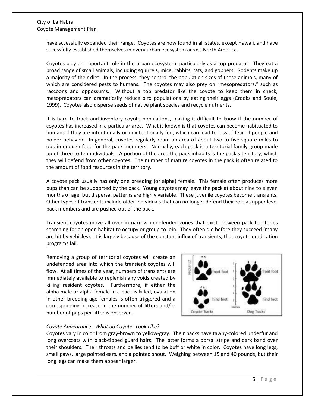have sccessfully expanded their range. Coyotes are now found in all states, except Hawaii, and have sucessfully established themselves in every urban ecosystem across North America.

Coyotes play an important role in the urban ecosystem, particularly as a top-predator. They eat a broad range of small animals, including squirrels, mice, rabbits, rats, and gophers. Rodents make up a majority of their diet. In the process, they control the population sizes of these animals, many of which are considered pests to humans. The coyotes may also prey on "mesopredators," such as raccoons and oppossums. Without a top predator like the coyote to keep them in check, mesopredators can dramatically reduce bird populations by eating their eggs (Crooks and Soule, 1999). Coyotes also disperse seeds of native plant species and recycle nutrients.

It is hard to track and inventory coyote populations, making it difficult to know if the number of coyotes has increased in a particular area. What is known is that coyotes can become habituated to humans if they are intentionally or unintentionally fed, which can lead to loss of fear of people and bolder behavior. In general, coyotes regularly roam an area of about two to five square miles to obtain enough food for the pack members. Normally, each pack is a territorial family group made up of three to ten individuals. A portion of the area the pack inhabits is the pack's territory, which they will defend from other coyotes. The number of mature coyotes in the pack is often related to the amount of food resources in the territory.

A coyote pack usually has only one breeding (or alpha) female. This female often produces more pups than can be supported by the pack. Young coyotes may leave the pack at about nine to eleven months of age, but dispersal patterns are highly variable. These juvenile coyotes become transients. Other types of transients include older individuals that can no longer defend their role as upper level pack members and are pushed out of the pack.

Transient coyotes move all over in narrow undefended zones that exist between pack territories searching for an open habitat to occupy or group to join. They often die before they succeed (many are hit by vehicles). It is largely because of the constant influx of transients, that coyote eradication programs fail.

Removing a group of territorial coyotes will create an undefended area into which the transient coyotes will flow. At all times of the year, numbers of transients are immediately available to replenish any voids created by killing resident coyotes. Furthermore, if either the alpha male or alpha female in a pack is killed, ovulation in other breeding-age females is often triggered and a corresponding increase in the number of litters and/or number of pups per litter is observed.



# *Coyote Appearance - What do Coyotes Look Like?*

Coyotes vary in color from gray-brown to yellow-gray. Their backs have tawny-colored underfur and long overcoats with black-tipped guard hairs. The latter forms a dorsal stripe and dark band over their shoulders. Their throats and bellies tend to be buff or white in color. Coyotes have long legs, small paws, large pointed ears, and a pointed snout. Weighing between 15 and 40 pounds, but their long legs can make them appear larger.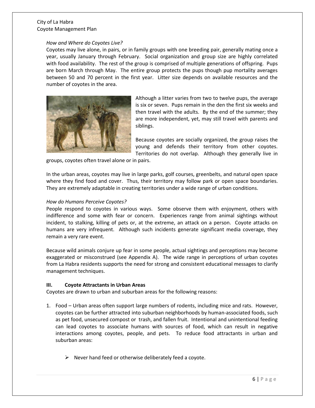#### *How and Where do Coyotes Live?*

Coyotes may live alone, in pairs, or in family groups with one breeding pair, generally mating once a year, usually January through February. Social organization and group size are highly correlated with food availability. The rest of the group is comprised of multiple generations of offspring. Pups are born March through May. The entire group protects the pups though pup mortality averages between 50 and 70 percent in the first year. Litter size depends on available resources and the number of coyotes in the area.



Although a litter varies from two to twelve pups, the average is six or seven. Pups remain in the den the first six weeks and then travel with the adults. By the end of the summer; they are more independent, yet, may still travel with parents and siblings.

Because coyotes are socially organized, the group raises the young and defends their territory from other coyotes. Territories do not overlap. Although they generally live in

groups, coyotes often travel alone or in pairs.

In the urban areas, coyotes may live in large parks, golf courses, greenbelts, and natural open space where they find food and cover. Thus, their territory may follow park or open space boundaries. They are extremely adaptable in creating territories under a wide range of urban conditions.

#### *How do Humans Perceive Coyotes?*

People respond to coyotes in various ways. Some observe them with enjoyment, others with indifference and some with fear or concern. Experiences range from animal sightings without incident, to stalking, killing of pets or, at the extreme, an attack on a person. Coyote attacks on humans are very infrequent. Although such incidents generate significant media coverage, they remain a very rare event.

Because wild animals conjure up fear in some people, actual sightings and perceptions may become exaggerated or misconstrued (see Appendix A). The wide range in perceptions of urban coyotes from La Habra residents supports the need for strong and consistent educational messages to clarify management techniques.

# **III. Coyote Attractants in Urban Areas**

Coyotes are drawn to urban and suburban areas for the following reasons:

- 1. Food Urban areas often support large numbers of rodents, including mice and rats. However, coyotes can be further attracted into suburban neighborhoods by human-associated foods, such as pet food, unsecured compost or trash, and fallen fruit. Intentional and unintentional feeding can lead coyotes to associate humans with sources of food, which can result in negative interactions among coyotes, people, and pets. To reduce food attractants in urban and suburban areas:
	- $\triangleright$  Never hand feed or otherwise deliberately feed a coyote.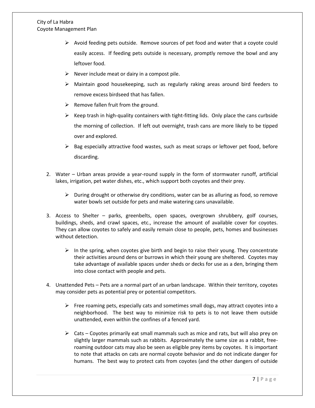- $\triangleright$  Avoid feeding pets outside. Remove sources of pet food and water that a coyote could easily access. If feeding pets outside is necessary, promptly remove the bowl and any leftover food.
- $\triangleright$  Never include meat or dairy in a compost pile.
- $\triangleright$  Maintain good housekeeping, such as regularly raking areas around bird feeders to remove excess birdseed that has fallen.
- $\triangleright$  Remove fallen fruit from the ground.
- $\triangleright$  Keep trash in high-quality containers with tight-fitting lids. Only place the cans curbside the morning of collection. If left out overnight, trash cans are more likely to be tipped over and explored.
- $\triangleright$  Bag especially attractive food wastes, such as meat scraps or leftover pet food, before discarding.
- 2. Water Urban areas provide a year-round supply in the form of stormwater runoff, artificial lakes, irrigation, pet water dishes, etc., which support both coyotes and their prey.
	- $\triangleright$  During drought or otherwise dry conditions, water can be as alluring as food, so remove water bowls set outside for pets and make watering cans unavailable.
- 3. Access to Shelter parks, greenbelts, open spaces, overgrown shrubbery, golf courses, buildings, sheds, and crawl spaces, etc., increase the amount of available cover for coyotes. They can allow coyotes to safely and easily remain close to people, pets, homes and businesses without detection.
	- $\triangleright$  In the spring, when coyotes give birth and begin to raise their young. They concentrate their activities around dens or burrows in which their young are sheltered. Coyotes may take advantage of available spaces under sheds or decks for use as a den, bringing them into close contact with people and pets.
- 4. Unattended Pets Pets are a normal part of an urban landscape. Within their territory, coyotes may consider pets as potential prey or potential competitors.
	- $\triangleright$  Free roaming pets, especially cats and sometimes small dogs, may attract coyotes into a neighborhood. The best way to minimize risk to pets is to not leave them outside unattended, even within the confines of a fenced yard.
	- $\triangleright$  Cats Coyotes primarily eat small mammals such as mice and rats, but will also prey on slightly larger mammals such as rabbits. Approximately the same size as a rabbit, freeroaming outdoor cats may also be seen as eligible prey items by coyotes. It is important to note that attacks on cats are normal coyote behavior and do not indicate danger for humans. The best way to protect cats from coyotes (and the other dangers of outside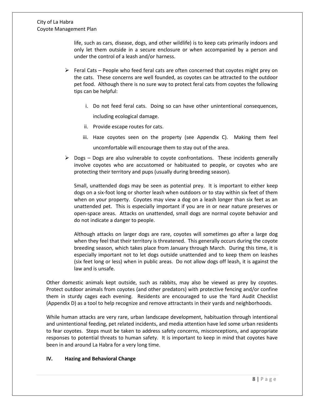life, such as cars, disease, dogs, and other wildlife) is to keep cats primarily indoors and only let them outside in a secure enclosure or when accompanied by a person and under the control of a leash and/or harness.

- $\triangleright$  Feral Cats People who feed feral cats are often concerned that coyotes might prey on the cats. These concerns are well founded, as coyotes can be attracted to the outdoor pet food. Although there is no sure way to protect feral cats from coyotes the following tips can be helpful:
	- i. Do not feed feral cats. Doing so can have other unintentional consequences, including ecological damage.
	- ii. Provide escape routes for cats.
	- iii. Haze coyotes seen on the property (see Appendix C). Making them feel uncomfortable will encourage them to stay out of the area.
- $\triangleright$  Dogs Dogs are also vulnerable to coyote confrontations. These incidents generally involve coyotes who are accustomed or habituated to people, or coyotes who are protecting their territory and pups (usually during breeding season).

Small, unattended dogs may be seen as potential prey. It is important to either keep dogs on a six-foot long or shorter leash when outdoors or to stay within six feet of them when on your property. Coyotes may view a dog on a leash longer than six feet as an unattended pet. This is especially important if you are in or near nature preserves or open-space areas. Attacks on unattended, small dogs are normal coyote behavior and do not indicate a danger to people.

Although attacks on larger dogs are rare, coyotes will sometimes go after a large dog when they feel that their territory is threatened. This generally occurs during the coyote breeding season, which takes place from January through March. During this time, it is especially important not to let dogs outside unattended and to keep them on leashes (six feet long or less) when in public areas. Do not allow dogs off leash, it is against the law and is unsafe.

Other domestic animals kept outside, such as rabbits, may also be viewed as prey by coyotes. Protect outdoor animals from coyotes (and other predators) with protective fencing and/or confine them in sturdy cages each evening. Residents are encouraged to use the Yard Audit Checklist (Appendix D) as a tool to help recognize and remove attractants in their yards and neighborhoods.

While human attacks are very rare, urban landscape development, habituation through intentional and unintentional feeding, pet related incidents, and media attention have led some urban residents to fear coyotes. Steps must be taken to address safety concerns, misconceptions, and appropriate responses to potential threats to human safety. It is important to keep in mind that coyotes have been in and around La Habra for a very long time.

# **IV. Hazing and Behavioral Change**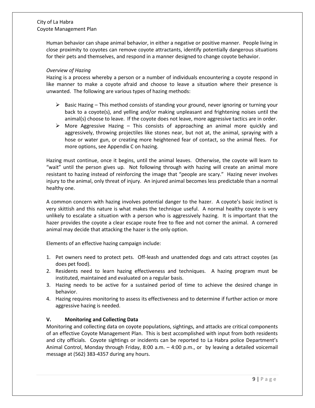Human behavior can shape animal behavior, in either a negative or positive manner. People living in close proximity to coyotes can remove coyote attractants, identify potentially dangerous situations for their pets and themselves, and respond in a manner designed to change coyote behavior.

#### *Overview of Hazing*

Hazing is a process whereby a person or a number of individuals encountering a coyote respond in like manner to make a coyote afraid and choose to leave a situation where their presence is unwanted. The following are various types of hazing methods:

- $\triangleright$  Basic Hazing This method consists of standing your ground, never ignoring or turning your back to a coyote(s), and yelling and/or making unpleasant and frightening noises until the animal(s) choose to leave. If the coyote does not leave, more aggressive tactics are in order.
- $\triangleright$  More Aggressive Hazing This consists of approaching an animal more quickly and aggressively, throwing projectiles like stones near, but not at, the animal, spraying with a hose or water gun, or creating more heightened fear of contact, so the animal flees. For more options, see Appendix C on hazing.

Hazing must continue, once it begins, until the animal leaves. Otherwise, the coyote will learn to "wait" until the person gives up. Not following through with hazing will create an animal more resistant to hazing instead of reinforcing the image that "people are scary." Hazing never involves injury to the animal, only threat of injury. An injured animal becomes less predictable than a normal healthy one.

A common concern with hazing involves potential danger to the hazer. A coyote's basic instinct is very skittish and this nature is what makes the technique useful. A normal healthy coyote is very unlikely to escalate a situation with a person who is aggressively hazing. It is important that the hazer provides the coyote a clear escape route free to flee and not corner the animal. A cornered animal may decide that attacking the hazer is the only option.

Elements of an effective hazing campaign include:

- 1. Pet owners need to protect pets. Off-leash and unattended dogs and cats attract coyotes (as does pet food).
- 2. Residents need to learn hazing effectiveness and techniques. A hazing program must be instituted, maintained and evaluated on a regular basis.
- 3. Hazing needs to be active for a sustained period of time to achieve the desired change in behavior.
- 4. Hazing requires monitoring to assess its effectiveness and to determine if further action or more aggressive hazing is needed.

# **V. Monitoring and Collecting Data**

Monitoring and collecting data on coyote populations, sightings, and attacks are critical components of an effective Coyote Management Plan. This is best accomplished with input from both residents and city officials. Coyote sightings or incidents can be reported to La Habra police Department's Animal Control, Monday through Friday, 8:00 a.m. – 4:00 p.m., or by leaving a detailed voicemail message at (562) 383-4357 during any hours.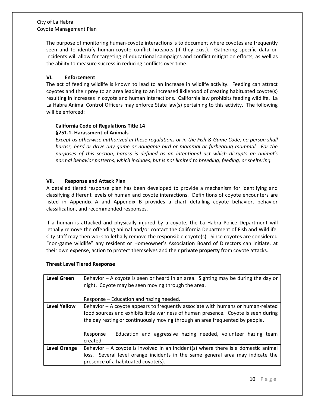The purpose of monitoring human-coyote interactions is to document where coyotes are frequently seen and to identify human-coyote conflict hotspots (if they exist). Gathering specific data on incidents will allow for targeting of educational campaigns and conflict mitigation efforts, as well as the ability to measure success in reducing conflicts over time.

# **VI. Enforcement**

The act of feeding wildlife is known to lead to an increase in wildlife activity. Feeding can attract coyotes and their prey to an area leading to an increased likliehood of creating habituated coyote(s) resulting in increases in coyote and human interactions. California law prohibits feeding wildlife. La La Habra Animal Control Officers may enforce State law(s) pertaining to this activity. The following will be enforced:

# **California Code of Regulations Title 14 §251.1. Harassment of Animals**

*Except as otherwise authorized in these regulations or in the Fish & Game Code, no person shall harass, herd or drive any game or nongame bird or mammal or furbearing mammal. For the purposes of this section, harass is defined as an intentional act which disrupts an animal's normal behavior patterns, which includes, but is not limited to breeding, feeding, or sheltering.* 

# **VII. Response and Attack Plan**

A detailed tiered response plan has been developed to provide a mechanism for identifying and classifying different levels of human and coyote interactions. Definitions of coyote encounters are listed in Appendix A and Appendix B provides a chart detailing coyote behavior, behavior classification, and recommended responses.

If a human is attacked and physically injured by a coyote, the La Habra Police Department will lethally remove the offending animal and/or contact the California Department of Fish and Wildlife. City staff may then work to lethally remove the responsible coyote(s). Since coyotes are considered "non-game wildlife" any resident or Homeowner's Association Board of Directors can initiate, at their own expense, action to protect themselves and their **private property** from coyote attacks.

# **Threat Level Tiered Response**

| Level Green         | Behavior – A coyote is seen or heard in an area. Sighting may be during the day or<br>night. Coyote may be seen moving through the area. |  |  |  |
|---------------------|------------------------------------------------------------------------------------------------------------------------------------------|--|--|--|
|                     |                                                                                                                                          |  |  |  |
|                     | Response – Education and hazing needed.                                                                                                  |  |  |  |
| <b>Level Yellow</b> | Behavior – A coyote appears to frequently associate with humans or human-related                                                         |  |  |  |
|                     | food sources and exhibits little wariness of human presence. Coyote is seen during                                                       |  |  |  |
|                     | the day resting or continuously moving through an area frequented by people.                                                             |  |  |  |
|                     |                                                                                                                                          |  |  |  |
|                     | Response – Education and aggressive hazing needed, volunteer hazing team                                                                 |  |  |  |
|                     | created.                                                                                                                                 |  |  |  |
| <b>Level Orange</b> | Behavior $-$ A coyote is involved in an incident(s) where there is a domestic animal                                                     |  |  |  |
|                     | loss. Several level orange incidents in the same general area may indicate the                                                           |  |  |  |
|                     | presence of a habituated coyote(s).                                                                                                      |  |  |  |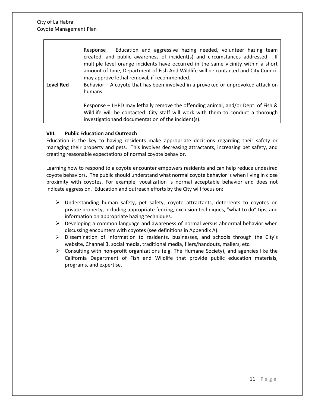|           | Response – Education and aggressive hazing needed, volunteer hazing team<br>created, and public awareness of incident(s) and circumstances addressed. If<br>multiple level orange incidents have occurred in the same vicinity within a short<br>amount of time, Department of Fish And Wildlife will be contacted and City Council<br>may approve lethal removal, if recommended. |
|-----------|------------------------------------------------------------------------------------------------------------------------------------------------------------------------------------------------------------------------------------------------------------------------------------------------------------------------------------------------------------------------------------|
| Level Red | Behavior - A coyote that has been involved in a provoked or unprovoked attack on<br>humans.                                                                                                                                                                                                                                                                                        |
|           | Response – LHPD may lethally remove the offending animal, and/or Dept. of Fish &<br>Wildlife will be contacted. City staff will work with them to conduct a thorough<br>investigationand documentation of the incident(s).                                                                                                                                                         |

#### **VIII. Public Education and Outreach**

Education is the key to having residents make appropriate decisions regarding their safety or managing their property and pets. This involves decreasing attractants, increasing pet safety, and creating reasonable expectations of normal coyote behavior.

Learning how to respond to a coyote encounter empowers residents and can help reduce undesired coyote behaviors. The public should understand what normal coyote behavior is when living in close proximity with coyotes. For example, vocalization is normal acceptable behavior and does not indicate aggression. Education and outreach efforts by the City will focus on:

- $\triangleright$  Understanding human safety, pet safety, coyote attractants, deterrents to coyotes on private property, including appropriate fencing, exclusion techniques, "what to do" tips, and information on appropriate hazing techniques.
- $\triangleright$  Developing a common language and awareness of normal versus abnormal behavior when discussing encounters with coyotes (see definitions in Appendix A).
- Dissemination of information to residents, businesses, and schools through the City's website, Channel 3, social media, traditional media, fliers/handouts, mailers, etc.
- $\triangleright$  Consulting with non-profit organizations (e.g. The Humane Society), and agencies like the California Department of Fish and Wildlife that provide public education materials, programs, and expertise.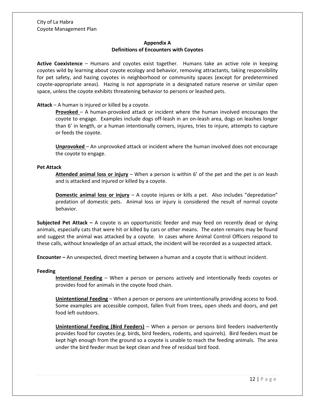# **Appendix A Definitions of Encounters with Coyotes**

**Active Coexistence** – Humans and coyotes exist together. Humans take an active role in keeping coyotes wild by learning about coyote ecology and behavior, removing attractants, taking responsibility for pet safety, and hazing coyotes in neighborhood or community spaces (except for predetermined coyote-appropriate areas). Hazing is not appropriate in a designated nature reserve or similar open space, unless the coyote exhibits threatening behavior to persons or leashed pets.

#### **Attack** – A human is injured or killed by a coyote.

**Provoked** – A human-provoked attack or incident where the human involved encourages the coyote to engage. Examples include dogs off-leash in an on-leash area, dogs on leashes longer than 6' in length, or a human intentionally corners, injures, tries to injure, attempts to capture or feeds the coyote.

**Unprovoked** – An unprovoked attack or incident where the human involved does not encourage the coyote to engage.

#### **Pet Attack**

**Attended animal loss or injury** – When a person is within 6' of the pet and the pet is on leash and is attacked and injured or killed by a coyote.

**Domestic animal loss or injury** – A coyote injures or kills a pet. Also includes "depredation" predation of domestic pets. Animal loss or injury is considered the result of normal coyote behavior.

**Subjected Pet Attack –** A coyote is an opportunistic feeder and may feed on recently dead or dying animals, especially cats that were hit or killed by cars or other means. The eaten remains may be found and suggest the animal was attacked by a coyote. In cases where Animal Control Officers respond to these calls, without knowledge of an actual attack, the incident will be recorded as a suspected attack.

**Encounter –** An unexpected, direct meeting between a human and a coyote that is without incident.

#### **Feeding**

**Intentional Feeding** – When a person or persons actively and intentionally feeds coyotes or provides food for animals in the coyote food chain.

**Unintentional Feeding** – When a person or persons are unintentionally providing access to food. Some examples are accessible compost, fallen fruit from trees, open sheds and doors, and pet food left outdoors.

**Unintentional Feeding (Bird Feeders)** – When a person or persons bird feeders inadvertently provides food for coyotes (e.g. birds, bird feeders, rodents, and squirrels). Bird feeders must be kept high enough from the ground so a coyote is unable to reach the feeding animals. The area under the bird feeder must be kept clean and free of residual bird food.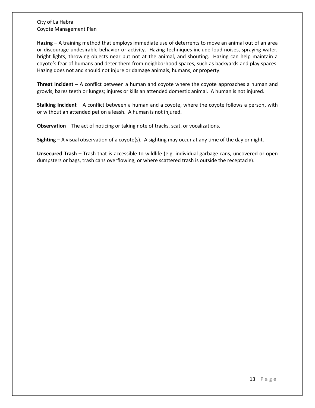**Hazing –** A training method that employs immediate use of deterrents to move an animal out of an area or discourage undesirable behavior or activity. Hazing techniques include loud noises, spraying water, bright lights, throwing objects near but not at the animal, and shouting. Hazing can help maintain a coyote's fear of humans and deter them from neighborhood spaces, such as backyards and play spaces. Hazing does not and should not injure or damage animals, humans, or property.

**Threat Incident** – A conflict between a human and coyote where the coyote approaches a human and growls, bares teeth or lunges; injures or kills an attended domestic animal. A human is not injured.

**Stalking Incident** – A conflict between a human and a coyote, where the coyote follows a person, with or without an attended pet on a leash. A human is not injured.

**Observation** – The act of noticing or taking note of tracks, scat, or vocalizations.

**Sighting** – A visual observation of a coyote(s). A sighting may occur at any time of the day or night.

**Unsecured Trash** – Trash that is accessible to wildlife (e.g. individual garbage cans, uncovered or open dumpsters or bags, trash cans overflowing, or where scattered trash is outside the receptacle).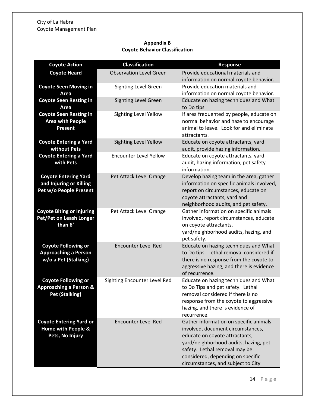# **Appendix B Coyote Behavior Classification**

| <b>Coyote Action</b>                                                                     | <b>Classification</b>          | <b>Response</b>                                                                                                                                                                                                                                                    |  |
|------------------------------------------------------------------------------------------|--------------------------------|--------------------------------------------------------------------------------------------------------------------------------------------------------------------------------------------------------------------------------------------------------------------|--|
| <b>Coyote Heard</b>                                                                      | <b>Observation Level Green</b> | Provide educational materials and<br>information on normal coyote behavior.                                                                                                                                                                                        |  |
| <b>Coyote Seen Moving in</b><br>Area                                                     | <b>Sighting Level Green</b>    | Provide education materials and<br>information on normal coyote behavior.                                                                                                                                                                                          |  |
| <b>Coyote Seen Resting in</b><br>Area                                                    | <b>Sighting Level Green</b>    | Educate on hazing techniques and What<br>to Do tips                                                                                                                                                                                                                |  |
| <b>Coyote Seen Resting in</b><br><b>Area with People</b><br><b>Present</b>               | Sighting Level Yellow          | If area frequented by people, educate on<br>normal behavior and haze to encourage<br>animal to leave. Look for and eliminate<br>attractants.                                                                                                                       |  |
| <b>Coyote Entering a Yard</b><br>without Pets                                            | Sighting Level Yellow          | Educate on coyote attractants, yard<br>audit, provide hazing information.                                                                                                                                                                                          |  |
| <b>Coyote Entering a Yard</b><br>with Pets                                               | <b>Encounter Level Yellow</b>  | Educate on coyote attractants, yard<br>audit, hazing information, pet safety<br>information.                                                                                                                                                                       |  |
| <b>Coyote Entering Yard</b><br>and Injuring or Killing<br>Pet w/o People Present         | Pet Attack Level Orange        | Develop hazing team in the area, gather<br>information on specific animals involved,<br>report on circumstances, educate on<br>coyote attractants, yard and<br>neighborhood audits, and pet safety.                                                                |  |
| <b>Coyote Biting or Injuring</b><br>Pet/Pet on Leash Longer<br>than 6'                   | Pet Attack Level Orange        | Gather information on specific animals<br>involved, report circumstances, educate<br>on coyote attractants,<br>yard/neighborhood audits, hazing, and<br>pet safety.                                                                                                |  |
| <b>Coyote Following or</b><br><b>Approaching a Person</b><br>w/o a Pet (Stalking)        | <b>Encounter Level Red</b>     | Educate on hazing techniques and What<br>to Do tips. Lethal removal considered if<br>there is no response from the coyote to<br>aggressive hazing, and there is evidence<br>of recurrence.                                                                         |  |
| <b>Coyote Following or</b><br><b>Approaching a Person &amp;</b><br><b>Pet (Stalking)</b> | Sighting Encounter Level Red   | Educate on hazing techniques and What<br>to Do Tips and pet safety. Lethal<br>removal considered if there is no<br>response from the coyote to aggressive<br>hazing, and there is evidence of<br>recurrence.                                                       |  |
| <b>Coyote Entering Yard or</b><br>Home with People &<br>Pets, No Injury                  | <b>Encounter Level Red</b>     | Gather information on specific animals<br>involved, document circumstances,<br>educate on coyote attractants,<br>yard/neighborhood audits, hazing, pet<br>safety. Lethal removal may be<br>considered, depending on specific<br>circumstances, and subject to City |  |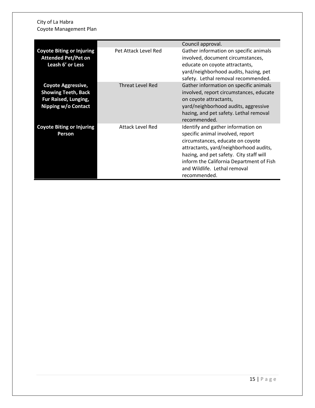|                                                                                                        |                      | Council approval.                                                                                                                                                                                                                                                                           |
|--------------------------------------------------------------------------------------------------------|----------------------|---------------------------------------------------------------------------------------------------------------------------------------------------------------------------------------------------------------------------------------------------------------------------------------------|
| <b>Coyote Biting or Injuring</b><br><b>Attended Pet/Pet on</b><br>Leash 6' or Less                     | Pet Attack Level Red | Gather information on specific animals<br>involved, document circumstances,<br>educate on coyote attractants,<br>yard/neighborhood audits, hazing, pet<br>safety. Lethal removal recommended.                                                                                               |
| <b>Coyote Aggressive,</b><br><b>Showing Teeth, Back</b><br>Fur Raised, Lunging,<br>Nipping w/o Contact | Threat Level Red     | Gather information on specific animals<br>involved, report circumstances, educate<br>on coyote attractants,<br>yard/neighborhood audits, aggressive<br>hazing, and pet safety. Lethal removal<br>recommended.                                                                               |
| <b>Coyote Biting or Injuring</b><br><b>Person</b>                                                      | Attack Level Red     | Identify and gather information on<br>specific animal involved, report<br>circumstances, educate on coyote<br>attractants, yard/neighborhood audits,<br>hazing, and pet safety. City staff will<br>inform the California Department of Fish<br>and Wildlife. Lethal removal<br>recommended. |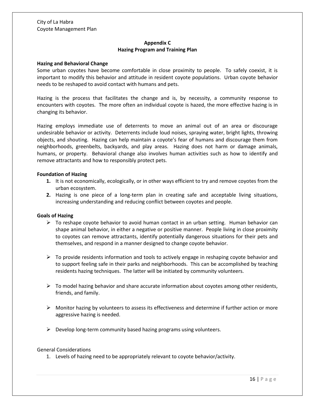# **Appendix C Hazing Program and Training Plan**

#### **Hazing and Behavioral Change**

Some urban coyotes have become comfortable in close proximity to people. To safely coexist, it is important to modify this behavior and attitude in resident coyote populations. Urban coyote behavior needs to be reshaped to avoid contact with humans and pets.

Hazing is the process that facilitates the change and is, by necessity, a community response to encounters with coyotes. The more often an individual coyote is hazed, the more effective hazing is in changing its behavior.

Hazing employs immediate use of deterrents to move an animal out of an area or discourage undesirable behavior or activity. Deterrents include loud noises, spraying water, bright lights, throwing objects, and shouting. Hazing can help maintain a coyote's fear of humans and discourage them from neighborhoods, greenbelts, backyards, and play areas. Hazing does not harm or damage animals, humans, or property. Behavioral change also involves human activities such as how to identify and remove attractants and how to responsibly protect pets.

#### **Foundation of Hazing**

- **1.** It is not economically, ecologically, or in other ways efficient to try and remove coyotes from the urban ecosystem.
- **2.** Hazing is one piece of a long-term plan in creating safe and acceptable living situations, increasing understanding and reducing conflict between coyotes and people.

#### **Goals of Hazing**

- $\triangleright$  To reshape coyote behavior to avoid human contact in an urban setting. Human behavior can shape animal behavior, in either a negative or positive manner. People living in close proximity to coyotes can remove attractants, identify potentially dangerous situations for their pets and themselves, and respond in a manner designed to change coyote behavior.
- $\triangleright$  To provide residents information and tools to actively engage in reshaping coyote behavior and to support feeling safe in their parks and neighborhoods. This can be accomplished by teaching residents hazing techniques. The latter will be initiated by community volunteers.
- $\triangleright$  To model hazing behavior and share accurate information about coyotes among other residents, friends, and family.
- $\triangleright$  Monitor hazing by volunteers to assess its effectiveness and determine if further action or more aggressive hazing is needed.
- $\triangleright$  Develop long-term community based hazing programs using volunteers.

#### General Considerations

1. Levels of hazing need to be appropriately relevant to coyote behavior/activity.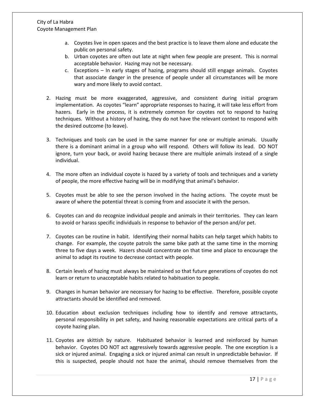- a. Coyotes live in open spaces and the best practice is to leave them alone and educate the public on personal safety.
- b. Urban coyotes are often out late at night when few people are present. This is normal acceptable behavior. Hazing may not be necessary.
- c. Exceptions In early stages of hazing, programs should still engage animals. Coyotes that associate danger in the presence of people under all circumstances will be more wary and more likely to avoid contact.
- 2. Hazing must be more exaggerated, aggressive, and consistent during initial program implementation. As coyotes "learn" appropriate responses to hazing, it will take less effort from hazers. Early in the process, it is extremely common for coyotes not to respond to hazing techniques. Without a history of hazing, they do not have the relevant context to respond with the desired outcome (to leave).
- 3. Techniques and tools can be used in the same manner for one or multiple animals. Usually there is a dominant animal in a group who will respond. Others will follow its lead. DO NOT ignore, turn your back, or avoid hazing because there are multiple animals instead of a single individual.
- 4. The more often an individual coyote is hazed by a variety of tools and techniques and a variety of people, the more effective hazing will be in modifying that animal's behavior.
- 5. Coyotes must be able to see the person involved in the hazing actions. The coyote must be aware of where the potential threat is coming from and associate it with the person.
- 6. Coyotes can and do recognize individual people and animals in their territories. They can learn to avoid or harass specific individuals in response to behavior of the person and/or pet.
- 7. Coyotes can be routine in habit. Identifying their normal habits can help target which habits to change. For example, the coyote patrols the same bike path at the same time in the morning three to five days a week. Hazers should concentrate on that time and place to encourage the animal to adapt its routine to decrease contact with people.
- 8. Certain levels of hazing must always be maintained so that future generations of coyotes do not learn or return to unacceptable habits related to habituation to people.
- 9. Changes in human behavior are necessary for hazing to be effective. Therefore, possible coyote attractants should be identified and removed.
- 10. Education about exclusion techniques including how to identify and remove attractants, personal responsibility in pet safety, and having reasonable expectations are critical parts of a coyote hazing plan.
- 11. Coyotes are skittish by nature. Habituated behavior is learned and reinforced by human behavior. Coyotes DO NOT act aggressively towards aggressive people. The one exception is a sick or injured animal. Engaging a sick or injured animal can result in unpredictable behavior. If this is suspected, people should not haze the animal, should remove themselves from the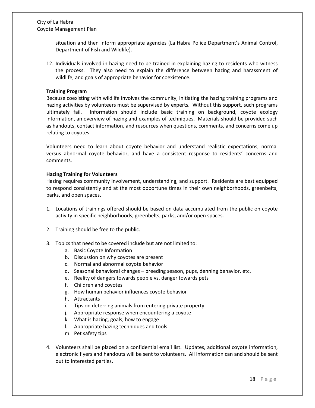situation and then inform appropriate agencies (La Habra Police Department's Animal Control, Department of Fish and Wildlife).

12. Individuals involved in hazing need to be trained in explaining hazing to residents who witness the process. They also need to explain the difference between hazing and harassment of wildlife, and goals of appropriate behavior for coexistence.

#### **Training Program**

Because coexisting with wildlife involves the community, initiating the hazing training programs and hazing activities by volunteers must be supervised by experts. Without this support, such programs ultimately fail. Information should include basic training on background, coyote ecology information, an overview of hazing and examples of techniques. Materials should be provided such as handouts, contact information, and resources when questions, comments, and concerns come up relating to coyotes.

Volunteers need to learn about coyote behavior and understand realistic expectations, normal versus abnormal coyote behavior, and have a consistent response to residents' concerns and comments.

#### **Hazing Training for Volunteers**

Hazing requires community involvement, understanding, and support. Residents are best equipped to respond consistently and at the most opportune times in their own neighborhoods, greenbelts, parks, and open spaces.

- 1. Locations of trainings offered should be based on data accumulated from the public on coyote activity in specific neighborhoods, greenbelts, parks, and/or open spaces.
- 2. Training should be free to the public.
- 3. Topics that need to be covered include but are not limited to:
	- a. Basic Coyote Information
	- b. Discussion on why coyotes are present
	- c. Normal and abnormal coyote behavior
	- d. Seasonal behavioral changes breeding season, pups, denning behavior, etc.
	- e. Reality of dangers towards people vs. danger towards pets
	- f. Children and coyotes
	- g. How human behavior influences coyote behavior
	- h. Attractants
	- i. Tips on deterring animals from entering private property
	- j. Appropriate response when encountering a coyote
	- k. What is hazing, goals, how to engage
	- l. Appropriate hazing techniques and tools
	- m. Pet safety tips
- 4. Volunteers shall be placed on a confidential email list. Updates, additional coyote information, electronic flyers and handouts will be sent to volunteers. All information can and should be sent out to interested parties.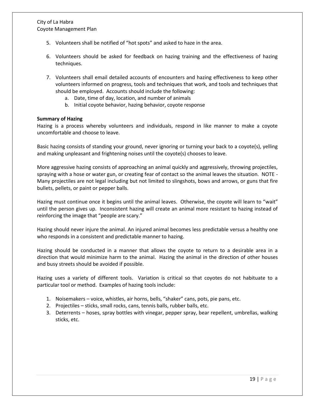- 5. Volunteers shall be notified of "hot spots" and asked to haze in the area.
- 6. Volunteers should be asked for feedback on hazing training and the effectiveness of hazing techniques.
- 7. Volunteers shall email detailed accounts of encounters and hazing effectiveness to keep other volunteers informed on progress, tools and techniques that work, and tools and techniques that should be employed. Accounts should include the following:
	- a. Date, time of day, location, and number of animals
	- b. Initial coyote behavior, hazing behavior, coyote response

#### **Summary of Hazing**

Hazing is a process whereby volunteers and individuals, respond in like manner to make a coyote uncomfortable and choose to leave.

Basic hazing consists of standing your ground, never ignoring or turning your back to a coyote(s), yelling and making unpleasant and frightening noises until the coyote(s) chooses to leave.

More aggressive hazing consists of approaching an animal quickly and aggressively, throwing projectiles, spraying with a hose or water gun, or creating fear of contact so the animal leaves the situation. NOTE - Many projectiles are not legal including but not limited to slingshots, bows and arrows, or guns that fire bullets, pellets, or paint or pepper balls.

Hazing must continue once it begins until the animal leaves. Otherwise, the coyote will learn to "wait" until the person gives up. Inconsistent hazing will create an animal more resistant to hazing instead of reinforcing the image that "people are scary."

Hazing should never injure the animal. An injured animal becomes less predictable versus a healthy one who responds in a consistent and predictable manner to hazing.

Hazing should be conducted in a manner that allows the coyote to return to a desirable area in a direction that would minimize harm to the animal. Hazing the animal in the direction of other houses and busy streets should be avoided if possible.

Hazing uses a variety of different tools. Variation is critical so that coyotes do not habituate to a particular tool or method. Examples of hazing tools include:

- 1. Noisemakers voice, whistles, air horns, bells, "shaker" cans, pots, pie pans, etc.
- 2. Projectiles sticks, small rocks, cans, tennis balls, rubber balls, etc.
- 3. Deterrents hoses, spray bottles with vinegar, pepper spray, bear repellent, umbrellas, walking sticks, etc.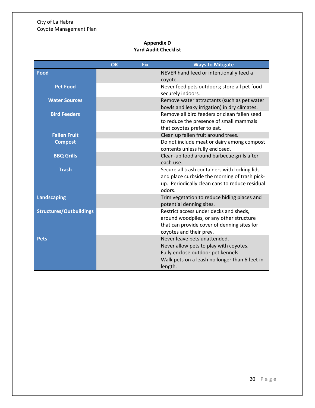# **Appendix D Yard Audit Checklist**

|                                | <b>OK</b> | <b>Fix</b> | <b>Ways to Mitigate</b>                                                                                                                                                  |
|--------------------------------|-----------|------------|--------------------------------------------------------------------------------------------------------------------------------------------------------------------------|
| <b>Food</b>                    |           |            | NEVER hand feed or intentionally feed a<br>coyote                                                                                                                        |
| <b>Pet Food</b>                |           |            | Never feed pets outdoors; store all pet food<br>securely indoors.                                                                                                        |
| <b>Water Sources</b>           |           |            | Remove water attractants (such as pet water<br>bowls and leaky irrigation) in dry climates.                                                                              |
| <b>Bird Feeders</b>            |           |            | Remove all bird feeders or clean fallen seed<br>to reduce the presence of small mammals<br>that coyotes prefer to eat.                                                   |
| <b>Fallen Fruit</b>            |           |            | Clean up fallen fruit around trees.                                                                                                                                      |
| <b>Compost</b>                 |           |            | Do not include meat or dairy among compost<br>contents unless fully enclosed.                                                                                            |
| <b>BBQ Grills</b>              |           |            | Clean-up food around barbecue grills after<br>each use.                                                                                                                  |
| <b>Trash</b>                   |           |            | Secure all trash containers with locking lids<br>and place curbside the morning of trash pick-<br>up. Periodically clean cans to reduce residual<br>odors.               |
| <b>Landscaping</b>             |           |            | Trim vegetation to reduce hiding places and<br>potential denning sites.                                                                                                  |
| <b>Structures/Outbuildings</b> |           |            | Restrict access under decks and sheds,<br>around woodpiles, or any other structure<br>that can provide cover of denning sites for<br>coyotes and their prey.             |
| <b>Pets</b>                    |           |            | Never leave pets unattended.<br>Never allow pets to play with coyotes.<br>Fully enclose outdoor pet kennels.<br>Walk pets on a leash no longer than 6 feet in<br>length. |